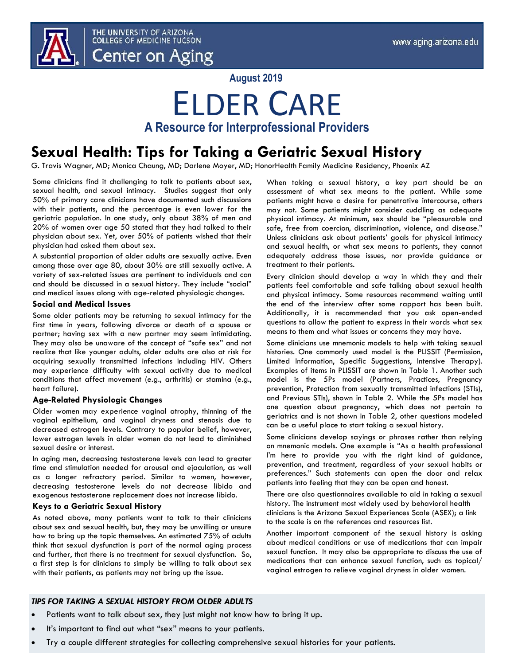

**August 2019**

## ELDER CARE **A Resource for Interprofessional Providers**

### **Sexual Health: Tips for Taking a Geriatric Sexual History**

G. Travis Wagner, MD; Monica Chaung, MD; Darlene Moyer, MD; HonorHealth Family Medicine Residency, Phoenix AZ

Some clinicians find it challenging to talk to patients about sex, sexual health, and sexual intimacy. Studies suggest that only 50% of primary care clinicians have documented such discussions with their patients, and the percentage is even lower for the geriatric population. In one study, only about 38% of men and 20% of women over age 50 stated that they had talked to their physician about sex. Yet, over 50% of patients wished that their physician had asked them about sex.

A substantial proportion of older adults are sexually active. Even among those over age 80, about 30% are still sexually active. A variety of sex-related issues are pertinent to individuals and can and should be discussed in a sexual history. They include "social" and medical issues along with age-related physiologic changes.

### **Social and Medical Issues**

Some older patients may be returning to sexual intimacy for the first time in years, following divorce or death of a spouse or partner; having sex with a new partner may seem intimidating. They may also be unaware of the concept of "safe sex" and not realize that like younger adults, older adults are also at risk for acquiring sexually transmitted infections including HIV. Others may experience difficulty with sexual activity due to medical conditions that affect movement (e.g., arthritis) or stamina (e.g., heart failure).

### **Age-Related Physiologic Changes**

Older women may experience vaginal atrophy, thinning of the vaginal epithelium, and vaginal dryness and stenosis due to decreased estrogen levels. Contrary to popular belief, however, lower estrogen levels in older women do not lead to diminished sexual desire or interest.

In aging men, decreasing testosterone levels can lead to greater time and stimulation needed for arousal and ejaculation, as well as a longer refractory period. Similar to women, however, decreasing testosterone levels do not decrease libido and exogenous testosterone replacement does not increase libido.

### **Keys to a Geriatric Sexual History**

As noted above, many patients want to talk to their clinicians about sex and sexual health, but, they may be unwilling or unsure how to bring up the topic themselves. An estimated 75% of adults think that sexual dysfunction is part of the normal aging process and further, that there is no treatment for sexual dysfunction. So, a first step is for clinicians to simply be willing to talk about sex with their patients, as patients may not bring up the issue.

When taking a sexual history, a key part should be an assessment of what sex means to the patient. While some patients might have a desire for penetrative intercourse, others may not. Some patients might consider cuddling as adequate physical intimacy. At minimum, sex should be "pleasurable and safe, free from coercion, discrimination, violence, and disease." Unless clinicians ask about patients' goals for physical intimacy and sexual health, or what sex means to patients, they cannot adequately address those issues, nor provide guidance or treatment to their patients.

Every clinician should develop a way in which they and their patients feel comfortable and safe talking about sexual health and physical intimacy. Some resources recommend waiting until the end of the interview after some rapport has been built. Additionally, it is recommended that you ask open-ended questions to allow the patient to express in their words what sex means to them and what issues or concerns they may have.

Some clinicians use mnemonic models to help with taking sexual histories. One commonly used model is the PLISSIT (Permission, Limited Information, Specific Suggestions, Intensive Therapy). Examples of items in PLISSIT are shown in Table 1. Another such model is the 5Ps model (Partners, Practices, Pregnancy prevention, Protection from sexually transmitted infections (STIs), and Previous STIs), shown in Table 2. While the 5Ps model has one question about pregnancy, which does not pertain to geriatrics and is not shown in Table 2, other questions modeled can be a useful place to start taking a sexual history.

Some clinicians develop sayings or phrases rather than relying on mnemonic models. One example is "As a health professional I'm here to provide you with the right kind of guidance, prevention, and treatment, regardless of your sexual habits or preferences." Such statements can open the door and relax patients into feeling that they can be open and honest.

There are also questionnaires available to aid in taking a sexual history. The instrument most widely used by behavioral health clinicians is the Arizona Sexual Experiences Scale (ASEX); a link to the scale is on the references and resources list.

Another important component of the sexual history is asking about medical conditions or use of medications that can impair sexual function. It may also be appropriate to discuss the use of medications that can enhance sexual function, such as topical/ vaginal estrogen to relieve vaginal dryness in older women.

### *TIPS FOR TAKING A SEXUAL HISTORY FROM OLDER ADULTS*

- Patients want to talk about sex, they just might not know how to bring it up.
- It's important to find out what "sex" means to your patients.
- Try a couple different strategies for collecting comprehensive sexual histories for your patients.